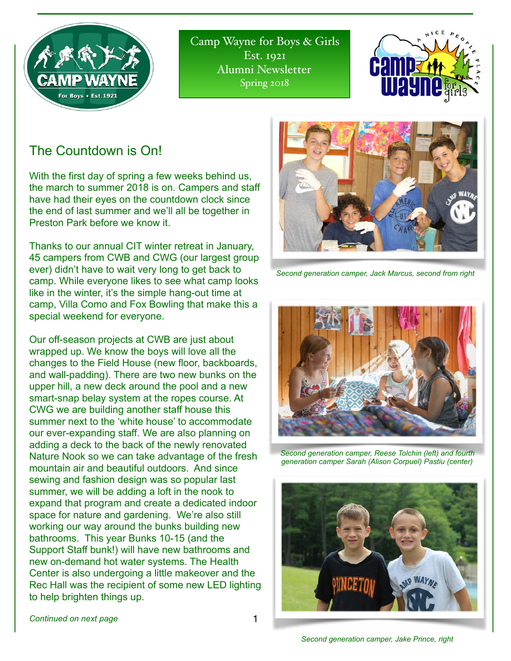

Camp Wayne for Boys & Girls Est. 1921 Alumni Newsletter Spring 2018



## The Countdown is On!

With the first day of spring a few weeks behind us, the march to summer 2018 is on. Campers and staff have had their eyes on the countdown clock since the end of last summer and we'll all be together in Preston Park before we know it.

Thanks to our annual CIT winter retreat in January, 45 campers from CWB and CWG (our largest group ever) didn't have to wait very long to get back to camp. While everyone likes to see what camp looks like in the winter, it's the simple hang-out time at camp, Villa Como and Fox Bowling that make this a special weekend for everyone.

Our off-season projects at CWB are just about wrapped up. We know the boys will love all the changes to the Field House (new floor, backboards, and wall-padding). There are two new bunks on the upper hill, a new deck around the pool and a new smart-snap belay system at the ropes course. At CWG we are building another staff house this summer next to the 'white house' to accommodate our ever-expanding staff. We are also planning on adding a deck to the back of the newly renovated Nature Nook so we can take advantage of the fresh mountain air and beautiful outdoors. And since sewing and fashion design was so popular last summer, we will be adding a loft in the nook to expand that program and create a dedicated indoor space for nature and gardening. We're also still working our way around the bunks building new bathrooms. This year Bunks 10-15 (and the Support Staff bunk!) will have new bathrooms and new on-demand hot water systems. The Health Center is also undergoing a little makeover and the Rec Hall was the recipient of some new LED lighting to help brighten things up.



*Second generation camper, Jack Marcus, second from right*



*Second generation camper, Reese Tolchin (left) and fourth generation camper Sarah (Alison Corpuel) Pastiu (center)*



*Continued on next page* 

*Second generation camper, Jake Prince, right*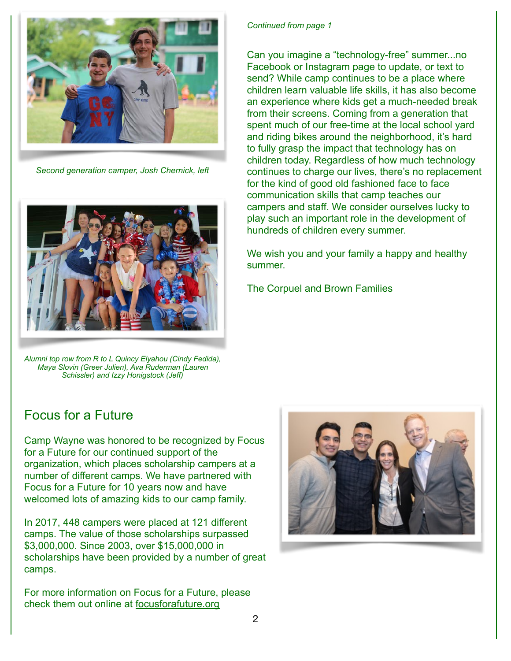

*Second generation camper, Josh Chernick, left*



*Alumni top row from R to L Quincy Elyahou (Cindy Fedida), Maya Slovin (Greer Julien), Ava Ruderman (Lauren Schissler) and Izzy Honigstock (Jeff)* 

#### *Continued from page 1*

Can you imagine a "technology-free" summer...no Facebook or Instagram page to update, or text to send? While camp continues to be a place where children learn valuable life skills, it has also become an experience where kids get a much-needed break from their screens. Coming from a generation that spent much of our free-time at the local school yard and riding bikes around the neighborhood, it's hard to fully grasp the impact that technology has on children today. Regardless of how much technology continues to charge our lives, there's no replacement for the kind of good old fashioned face to face communication skills that camp teaches our campers and staff. We consider ourselves lucky to play such an important role in the development of hundreds of children every summer.

We wish you and your family a happy and healthy summer.

The Corpuel and Brown Families

### Focus for a Future

Camp Wayne was honored to be recognized by Focus for a Future for our continued support of the organization, which places scholarship campers at a number of different camps. We have partnered with Focus for a Future for 10 years now and have welcomed lots of amazing kids to our camp family.

In 2017, 448 campers were placed at 121 different camps. The value of those scholarships surpassed \$3,000,000. Since 2003, over \$15,000,000 in scholarships have been provided by a number of great camps.

For more information on Focus for a Future, please check them out online at [focusforafuture.org](http://focusforafutre.org)

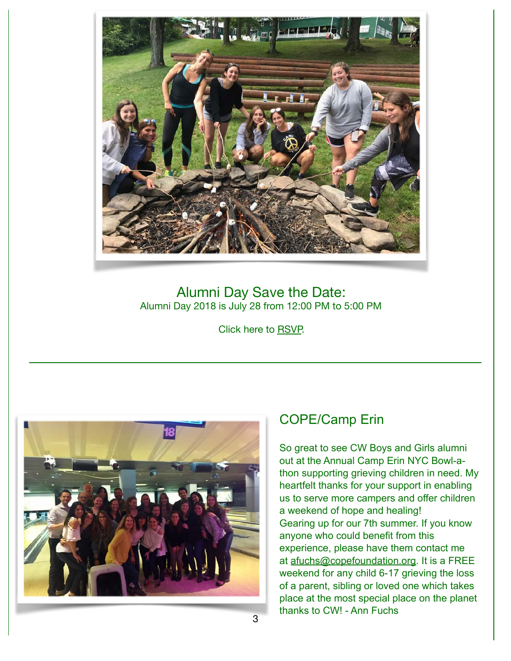

### Alumni Day Save the Date: Alumni Day 2018 is July 28 from 12:00 PM to 5:00 PM

Click here to [RSVP.](https://docs.google.com/forms/d/e/1FAIpQLSdtR_njCZgQ4EX72mI4tEq4ln0i409rwFHWvrt26bJdNvvzJg/viewform?usp=sf_link)



## COPE/Camp Erin

So great to see CW Boys and Girls alumni out at the Annual Camp Erin NYC Bowl-athon supporting grieving children in need. My heartfelt thanks for your support in enabling us to serve more campers and offer children a weekend of hope and healing! Gearing up for our 7th summer. If you know anyone who could benefit from this experience, please have them contact me at [afuchs@copefoundation.org.](mailto:afuchs@copefoundation.org) It is a FREE weekend for any child 6-17 grieving the loss of a parent, sibling or loved one which takes place at the most special place on the planet thanks to CW! - Ann Fuchs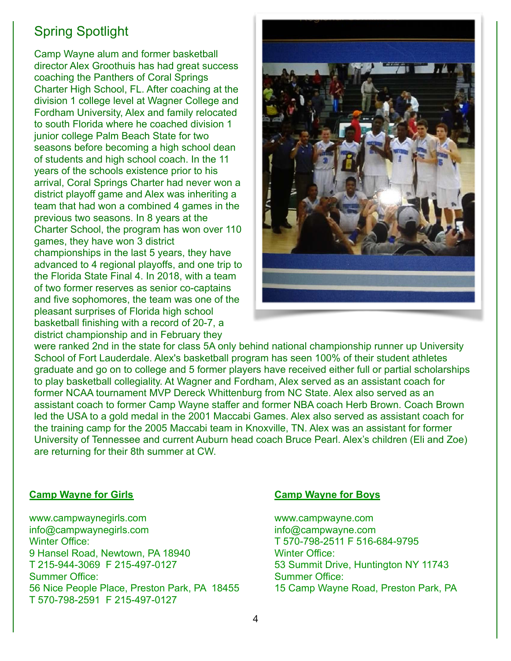# Spring Spotlight

Camp Wayne alum and former basketball director Alex Groothuis has had great success coaching the Panthers of Coral Springs Charter High School, FL. After coaching at the division 1 college level at Wagner College and Fordham University, Alex and family relocated to south Florida where he coached division 1 junior college Palm Beach State for two seasons before becoming a high school dean of students and high school coach. In the 11 years of the schools existence prior to his arrival, Coral Springs Charter had never won a district playoff game and Alex was inheriting a team that had won a combined 4 games in the previous two seasons. In 8 years at the Charter School, the program has won over 110 games, they have won 3 district championships in the last 5 years, they have advanced to 4 regional playoffs, and one trip to the Florida State Final 4. In 2018, with a team of two former reserves as senior co-captains and five sophomores, the team was one of the pleasant surprises of Florida high school basketball finishing with a record of 20-7, a district championship and in February they



were ranked 2nd in the state for class 5A only behind national championship runner up University School of Fort Lauderdale. Alex's basketball program has seen 100% of their student athletes graduate and go on to college and 5 former players have received either full or partial scholarships to play basketball collegiality. At Wagner and Fordham, Alex served as an assistant coach for former NCAA tournament MVP Dereck Whittenburg from NC State. Alex also served as an assistant coach to former Camp Wayne staffer and former NBA coach Herb Brown. Coach Brown led the USA to a gold medal in the 2001 Maccabi Games. Alex also served as assistant coach for the training camp for the 2005 Maccabi team in Knoxville, TN. Alex was an assistant for former University of Tennessee and current Auburn head coach Bruce Pearl. Alex's children (Eli and Zoe) are returning for their 8th summer at CW.

### **Camp Wayne for Girls**

www.campwaynegirls.com info@campwaynegirls.com Winter Office: 9 Hansel Road, Newtown, PA 18940 T 215-944-3069 F 215-497-0127 Summer Office: 56 Nice People Place, Preston Park, PA 18455 T 570-798-2591 F 215-497-0127

#### **Camp Wayne for Boys**

www.campwayne.com info@campwayne.com T 570-798-2511 F 516-684-9795 Winter Office: 53 Summit Drive, Huntington NY 11743 Summer Office: 15 Camp Wayne Road, Preston Park, PA